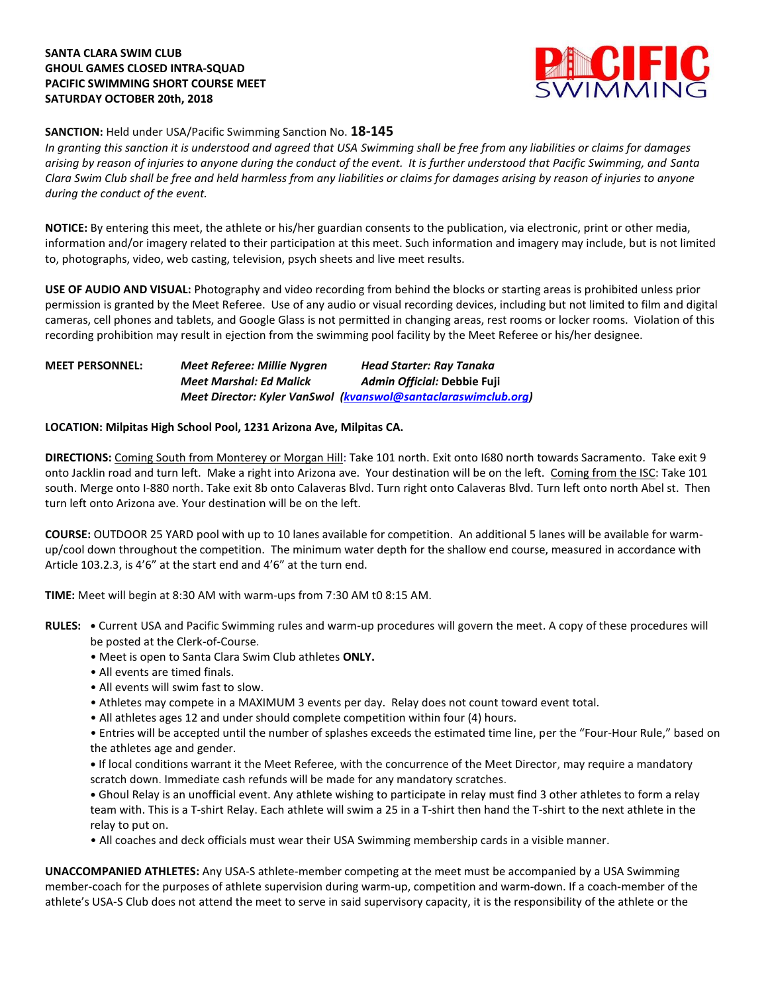# **SANTA CLARA SWIM CLUB GHOUL GAMES CLOSED INTRA-SQUAD PACIFIC SWIMMING SHORT COURSE MEET SATURDAY OCTOBER 20th, 2018**



# **SANCTION:** Held under USA/Pacific Swimming Sanction No. **18-145**

*In granting this sanction it is understood and agreed that USA Swimming shall be free from any liabilities or claims for damages arising by reason of injuries to anyone during the conduct of the event. It is further understood that Pacific Swimming, and Santa Clara Swim Club shall be free and held harmless from any liabilities or claims for damages arising by reason of injuries to anyone during the conduct of the event.*

**NOTICE:** By entering this meet, the athlete or his/her guardian consents to the publication, via electronic, print or other media, information and/or imagery related to their participation at this meet. Such information and imagery may include, but is not limited to, photographs, video, web casting, television, psych sheets and live meet results.

**USE OF AUDIO AND VISUAL:** Photography and video recording from behind the blocks or starting areas is prohibited unless prior permission is granted by the Meet Referee. Use of any audio or visual recording devices, including but not limited to film and digital cameras, cell phones and tablets, and Google Glass is not permitted in changing areas, rest rooms or locker rooms. Violation of this recording prohibition may result in ejection from the swimming pool facility by the Meet Referee or his/her designee.

### **MEET PERSONNEL:** *Meet Referee: Millie Nygren Head Starter: Ray Tanaka Meet Marshal: Ed Malick Admin Official:* **Debbie Fuji** *Meet Director: Kyler VanSwol [\(kvanswol@santaclaraswimclub.org\)](mailto:kvanswol@santaclaraswimclub.org)*

### **LOCATION: Milpitas High School Pool, 1231 Arizona Ave, Milpitas CA.**

**DIRECTIONS:** Coming South from Monterey or Morgan Hill: Take 101 north. Exit onto I680 north towards Sacramento. Take exit 9 onto Jacklin road and turn left. Make a right into Arizona ave. Your destination will be on the left. Coming from the ISC: Take 101 south. Merge onto I-880 north. Take exit 8b onto Calaveras Blvd. Turn right onto Calaveras Blvd. Turn left onto north Abel st. Then turn left onto Arizona ave. Your destination will be on the left.

**COURSE:** OUTDOOR 25 YARD pool with up to 10 lanes available for competition.An additional 5 lanes will be available for warmup/cool down throughout the competition. The minimum water depth for the shallow end course, measured in accordance with Article 103.2.3, is 4'6" at the start end and 4'6" at the turn end.

**TIME:** Meet will begin at 8:30 AM with warm-ups from 7:30 AM t0 8:15 AM.

- **RULES: •** Current USA and Pacific Swimming rules and warm-up procedures will govern the meet. A copy of these procedures will be posted at the Clerk-of-Course.
	- Meet is open to Santa Clara Swim Club athletes **ONLY.**
	- All events are timed finals.
	- All events will swim fast to slow.
	- Athletes may compete in a MAXIMUM 3 events per day. Relay does not count toward event total.
	- All athletes ages 12 and under should complete competition within four (4) hours.

• Entries will be accepted until the number of splashes exceeds the estimated time line, per the "Four-Hour Rule," based on the athletes age and gender.

**•** If local conditions warrant it the Meet Referee, with the concurrence of the Meet Director, may require a mandatory scratch down. Immediate cash refunds will be made for any mandatory scratches.

**•** Ghoul Relay is an unofficial event. Any athlete wishing to participate in relay must find 3 other athletes to form a relay team with. This is a T-shirt Relay. Each athlete will swim a 25 in a T-shirt then hand the T-shirt to the next athlete in the relay to put on.

• All coaches and deck officials must wear their USA Swimming membership cards in a visible manner.

**UNACCOMPANIED ATHLETES:** Any USA-S athlete-member competing at the meet must be accompanied by a USA Swimming member-coach for the purposes of athlete supervision during warm-up, competition and warm-down. If a coach-member of the athlete's USA-S Club does not attend the meet to serve in said supervisory capacity, it is the responsibility of the athlete or the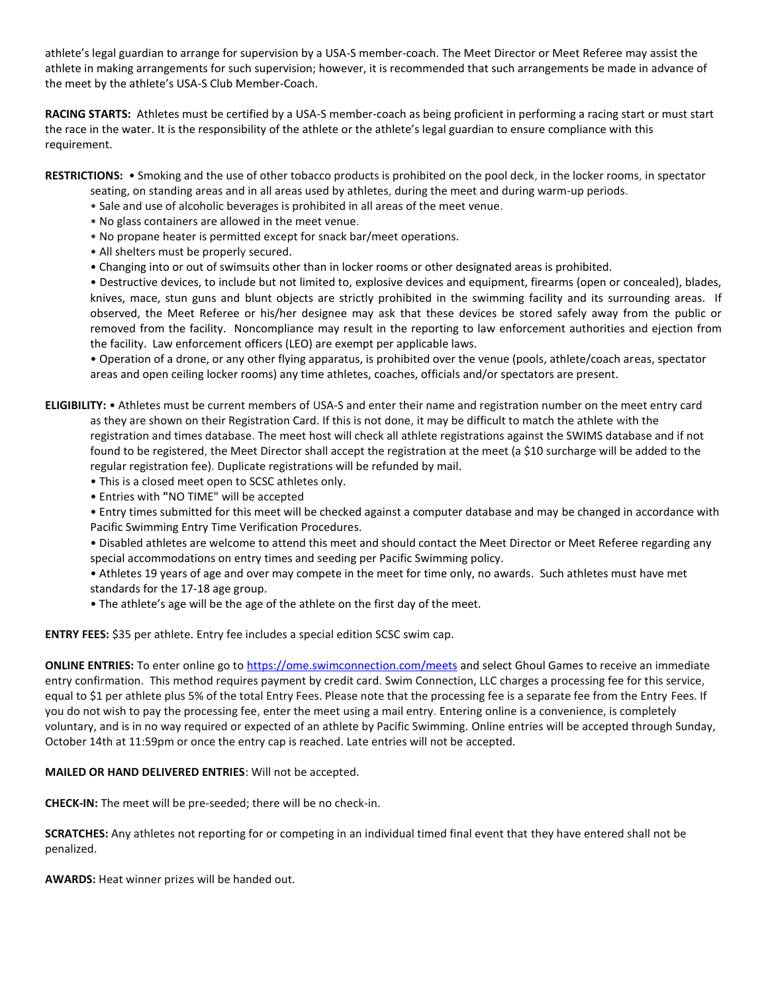athlete's legal guardian to arrange for supervision by a USA-S member-coach. The Meet Director or Meet Referee may assist the athlete in making arrangements for such supervision; however, it is recommended that such arrangements be made in advance of the meet by the athlete's USA-S Club Member-Coach.

**RACING STARTS:** Athletes must be certified by a USA-S member-coach as being proficient in performing a racing start or must start the race in the water. It is the responsibility of the athlete or the athlete's legal guardian to ensure compliance with this requirement.

**RESTRICTIONS:** • Smoking and the use of other tobacco products is prohibited on the pool deck, in the locker rooms, in spectator

- seating, on standing areas and in all areas used by athletes, during the meet and during warm-up periods.
- Sale and use of alcoholic beverages is prohibited in all areas of the meet venue.
- No glass containers are allowed in the meet venue.
- No propane heater is permitted except for snack bar/meet operations.
- All shelters must be properly secured.
- Changing into or out of swimsuits other than in locker rooms or other designated areas is prohibited.

• Destructive devices, to include but not limited to, explosive devices and equipment, firearms (open or concealed), blades, knives, mace, stun guns and blunt objects are strictly prohibited in the swimming facility and its surrounding areas. If observed, the Meet Referee or his/her designee may ask that these devices be stored safely away from the public or removed from the facility. Noncompliance may result in the reporting to law enforcement authorities and ejection from the facility. Law enforcement officers (LEO) are exempt per applicable laws.

• Operation of a drone, or any other flying apparatus, is prohibited over the venue (pools, athlete/coach areas, spectator areas and open ceiling locker rooms) any time athletes, coaches, officials and/or spectators are present.

**ELIGIBILITY:** • Athletes must be current members of USA-S and enter their name and registration number on the meet entry card as they are shown on their Registration Card. If this is not done, it may be difficult to match the athlete with the registration and times database. The meet host will check all athlete registrations against the SWIMS database and if not found to be registered, the Meet Director shall accept the registration at the meet (a \$10 surcharge will be added to the regular registration fee). Duplicate registrations will be refunded by mail.

- This is a closed meet open to SCSC athletes only.
- Entries with **"**NO TIME" will be accepted

• Entry times submitted for this meet will be checked against a computer database and may be changed in accordance with Pacific Swimming Entry Time Verification Procedures.

• Disabled athletes are welcome to attend this meet and should contact the Meet Director or Meet Referee regarding any special accommodations on entry times and seeding per Pacific Swimming policy.

• Athletes 19 years of age and over may compete in the meet for time only, no awards. Such athletes must have met standards for the 17-18 age group.

• The athlete's age will be the age of the athlete on the first day of the meet.

**ENTRY FEES:** \$35 per athlete. Entry fee includes a special edition SCSC swim cap.

**ONLINE ENTRIES:** To enter online go to <https://ome.swimconnection.com/meets> and select Ghoul Games to receive an immediate entry confirmation. This method requires payment by credit card. Swim Connection, LLC charges a processing fee for this service, equal to \$1 per athlete plus 5% of the total Entry Fees. Please note that the processing fee is a separate fee from the Entry Fees. If you do not wish to pay the processing fee, enter the meet using a mail entry. Entering online is a convenience, is completely voluntary, and is in no way required or expected of an athlete by Pacific Swimming. Online entries will be accepted through Sunday, October 14th at 11:59pm or once the entry cap is reached. Late entries will not be accepted.

### **MAILED OR HAND DELIVERED ENTRIES**: Will not be accepted.

**CHECK-IN:** The meet will be pre-seeded; there will be no check-in.

**SCRATCHES:** Any athletes not reporting for or competing in an individual timed final event that they have entered shall not be penalized.

**AWARDS:** Heat winner prizes will be handed out.